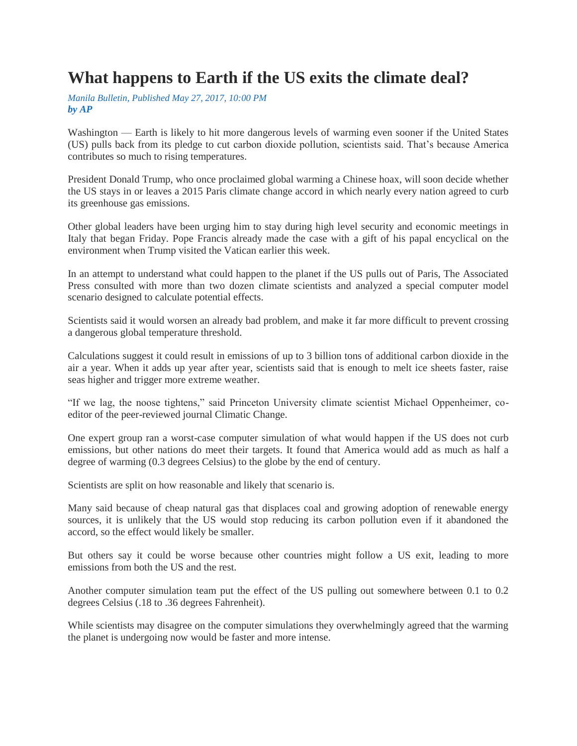## **What happens to Earth if the US exits the climate deal?**

*Manila Bulletin, Published May 27, 2017, 10:00 PM by AP*

Washington — Earth is likely to hit more dangerous levels of warming even sooner if the United States (US) pulls back from its pledge to cut carbon dioxide pollution, scientists said. That's because America contributes so much to rising temperatures.

President Donald Trump, who once proclaimed global warming a Chinese hoax, will soon decide whether the US stays in or leaves a 2015 Paris climate change accord in which nearly every nation agreed to curb its greenhouse gas emissions.

Other global leaders have been urging him to stay during high level security and economic meetings in Italy that began Friday. Pope Francis already made the case with a gift of his papal encyclical on the environment when Trump visited the Vatican earlier this week.

In an attempt to understand what could happen to the planet if the US pulls out of Paris, The Associated Press consulted with more than two dozen climate scientists and analyzed a special computer model scenario designed to calculate potential effects.

Scientists said it would worsen an already bad problem, and make it far more difficult to prevent crossing a dangerous global temperature threshold.

Calculations suggest it could result in emissions of up to 3 billion tons of additional carbon dioxide in the air a year. When it adds up year after year, scientists said that is enough to melt ice sheets faster, raise seas higher and trigger more extreme weather.

"If we lag, the noose tightens," said Princeton University climate scientist Michael Oppenheimer, coeditor of the peer-reviewed journal Climatic Change.

One expert group ran a worst-case computer simulation of what would happen if the US does not curb emissions, but other nations do meet their targets. It found that America would add as much as half a degree of warming (0.3 degrees Celsius) to the globe by the end of century.

Scientists are split on how reasonable and likely that scenario is.

Many said because of cheap natural gas that displaces coal and growing adoption of renewable energy sources, it is unlikely that the US would stop reducing its carbon pollution even if it abandoned the accord, so the effect would likely be smaller.

But others say it could be worse because other countries might follow a US exit, leading to more emissions from both the US and the rest.

Another computer simulation team put the effect of the US pulling out somewhere between 0.1 to 0.2 degrees Celsius (.18 to .36 degrees Fahrenheit).

While scientists may disagree on the computer simulations they overwhelmingly agreed that the warming the planet is undergoing now would be faster and more intense.